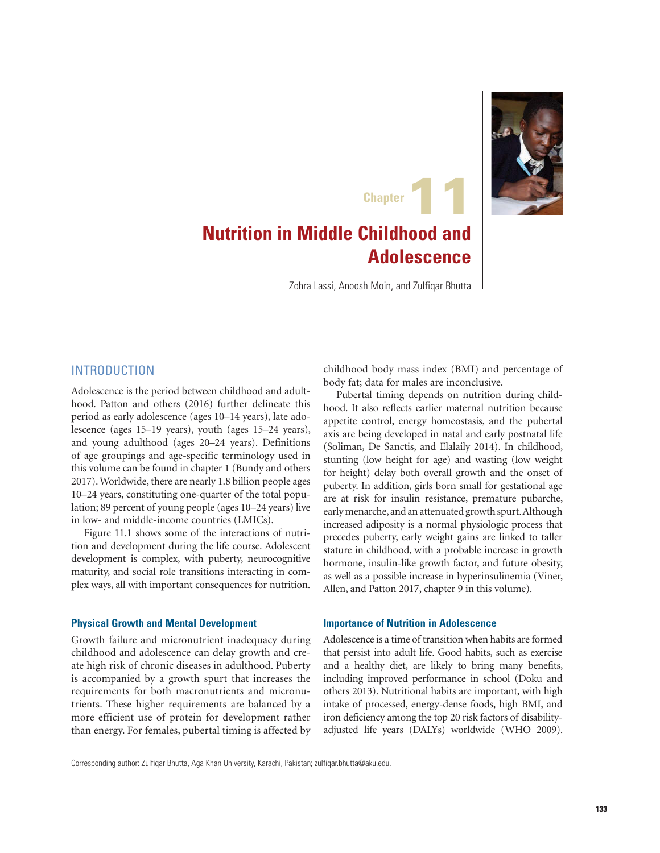**Chapter** 

# **Nutrition in Middle Childhood and Adolescence**

Zohra Lassi, Anoosh Moin, and Zulfiqar Bhutta

## **INTRODUCTION**

Adolescence is the period between childhood and adulthood. Patton and others (2016) further delineate this period as early adolescence (ages 10–14 years), late adolescence (ages 15–19 years), youth (ages 15–24 years), and young adulthood (ages 20–24 years). Definitions of age groupings and age-specific terminology used in this volume can be found in chapter 1 (Bundy and others 2017). Worldwide, there are nearly 1.8 billion people ages 10–24 years, constituting one-quarter of the total population; 89 percent of young people (ages 10–24 years) live in low- and middle-income countries (LMICs).

Figure 11.1 shows some of the interactions of nutrition and development during the life course. Adolescent development is complex, with puberty, neurocognitive maturity, and social role transitions interacting in complex ways, all with important consequences for nutrition.

## **Physical Growth and Mental Development**

Growth failure and micronutrient inadequacy during childhood and adolescence can delay growth and create high risk of chronic diseases in adulthood. Puberty is accompanied by a growth spurt that increases the requirements for both macronutrients and micronutrients. These higher requirements are balanced by a more efficient use of protein for development rather than energy. For females, pubertal timing is affected by

childhood body mass index (BMI) and percentage of body fat; data for males are inconclusive.

Pubertal timing depends on nutrition during childhood. It also reflects earlier maternal nutrition because appetite control, energy homeostasis, and the pubertal axis are being developed in natal and early postnatal life (Soliman, De Sanctis, and Elalaily 2014). In childhood, stunting (low height for age) and wasting (low weight for height) delay both overall growth and the onset of puberty. In addition, girls born small for gestational age are at risk for insulin resistance, premature pubarche, early menarche, and an attenuated growth spurt. Although increased adiposity is a normal physiologic process that precedes puberty, early weight gains are linked to taller stature in childhood, with a probable increase in growth hormone, insulin-like growth factor, and future obesity, as well as a possible increase in hyperinsulinemia (Viner, Allen, and Patton 2017, chapter 9 in this volume).

### **Importance of Nutrition in Adolescence**

Adolescence is a time of transition when habits are formed that persist into adult life. Good habits, such as exercise and a healthy diet, are likely to bring many benefits, including improved performance in school (Doku and others 2013). Nutritional habits are important, with high intake of processed, energy-dense foods, high BMI, and iron deficiency among the top 20 risk factors of disabilityadjusted life years (DALYs) worldwide (WHO 2009).

Corresponding author: Zulfiqar Bhutta, Aga Khan University, Karachi, Pakistan; zulfiqar.bhutta@aku.edu.

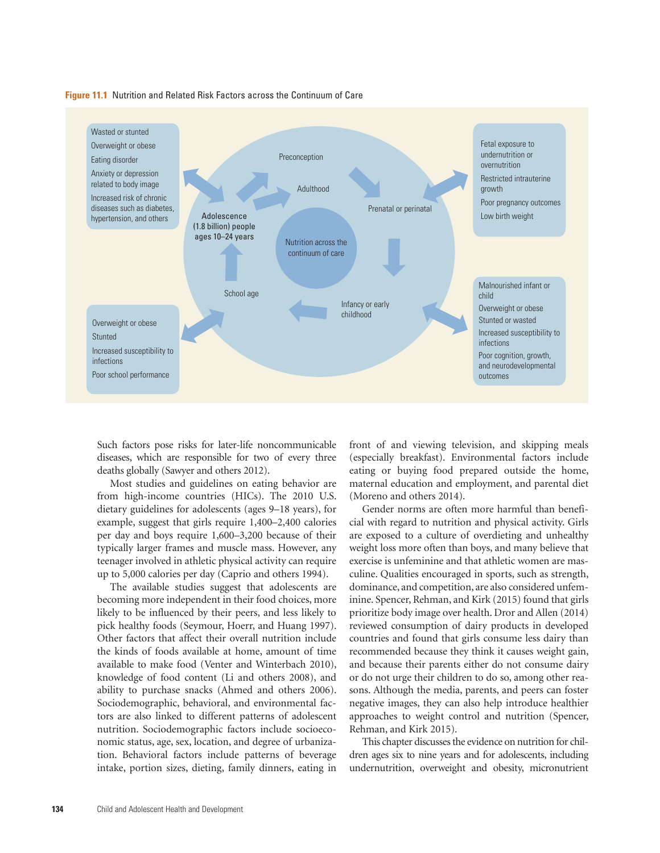



Such factors pose risks for later-life noncommunicable diseases, which are responsible for two of every three deaths globally (Sawyer and others 2012).

Most studies and guidelines on eating behavior are from high-income countries (HICs). The 2010 U.S. dietary guidelines for adolescents (ages 9–18 years), for example, suggest that girls require 1,400–2,400 calories per day and boys require 1,600–3,200 because of their typically larger frames and muscle mass. However, any teenager involved in athletic physical activity can require up to 5,000 calories per day (Caprio and others 1994).

The available studies suggest that adolescents are becoming more independent in their food choices, more likely to be influenced by their peers, and less likely to pick healthy foods (Seymour, Hoerr, and Huang 1997). Other factors that affect their overall nutrition include the kinds of foods available at home, amount of time available to make food (Venter and Winterbach 2010), knowledge of food content (Li and others 2008), and ability to purchase snacks (Ahmed and others 2006). Sociodemographic, behavioral, and environmental factors are also linked to different patterns of adolescent nutrition. Sociodemographic factors include socioeconomic status, age, sex, location, and degree of urbanization. Behavioral factors include patterns of beverage intake, portion sizes, dieting, family dinners, eating in

front of and viewing television, and skipping meals (especially breakfast). Environmental factors include eating or buying food prepared outside the home, maternal education and employment, and parental diet (Moreno and others 2014).

Gender norms are often more harmful than beneficial with regard to nutrition and physical activity. Girls are exposed to a culture of overdieting and unhealthy weight loss more often than boys, and many believe that exercise is unfeminine and that athletic women are masculine. Qualities encouraged in sports, such as strength, dominance, and competition, are also considered unfeminine. Spencer, Rehman, and Kirk (2015) found that girls prioritize body image over health. Dror and Allen (2014) reviewed consumption of dairy products in developed countries and found that girls consume less dairy than recommended because they think it causes weight gain, and because their parents either do not consume dairy or do not urge their children to do so, among other reasons. Although the media, parents, and peers can foster negative images, they can also help introduce healthier approaches to weight control and nutrition (Spencer, Rehman, and Kirk 2015).

This chapter discusses the evidence on nutrition for children ages six to nine years and for adolescents, including undernutrition, overweight and obesity, micronutrient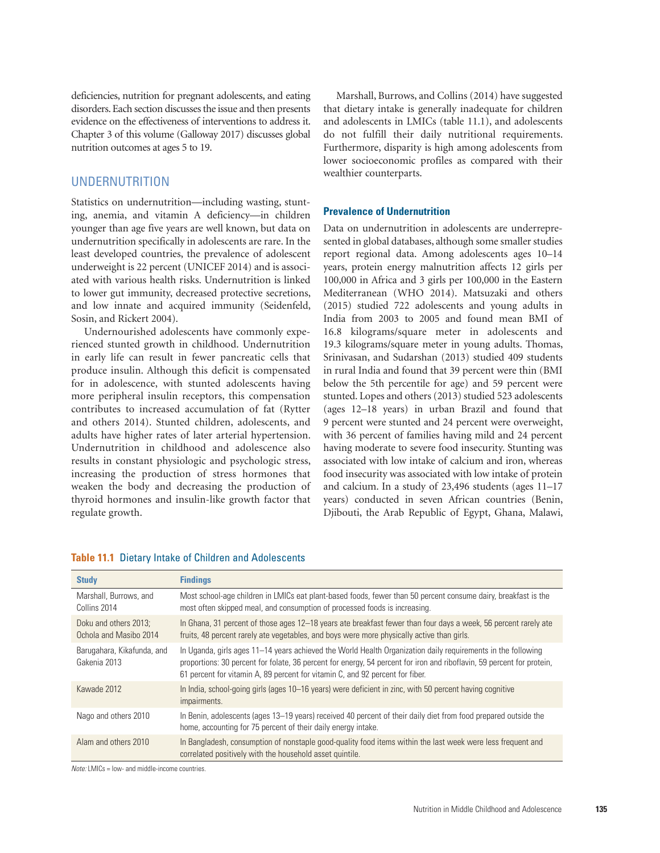deficiencies, nutrition for pregnant adolescents, and eating disorders. Each section discusses the issue and then presents evidence on the effectiveness of interventions to address it. Chapter 3 of this volume (Galloway 2017) discusses global nutrition outcomes at ages 5 to 19.

# UNDERNUTRITION

Statistics on undernutrition—including wasting, stunting, anemia, and vitamin A deficiency—in children younger than age five years are well known, but data on undernutrition specifically in adolescents are rare. In the least developed countries, the prevalence of adolescent underweight is 22 percent (UNICEF 2014) and is associated with various health risks. Undernutrition is linked to lower gut immunity, decreased protective secretions, and low innate and acquired immunity (Seidenfeld, Sosin, and Rickert 2004).

Undernourished adolescents have commonly experienced stunted growth in childhood. Undernutrition in early life can result in fewer pancreatic cells that produce insulin. Although this deficit is compensated for in adolescence, with stunted adolescents having more peripheral insulin receptors, this compensation contributes to increased accumulation of fat (Rytter and others 2014). Stunted children, adolescents, and adults have higher rates of later arterial hypertension. Undernutrition in childhood and adolescence also results in constant physiologic and psychologic stress, increasing the production of stress hormones that weaken the body and decreasing the production of thyroid hormones and insulin-like growth factor that regulate growth.

Marshall, Burrows, and Collins (2014) have suggested that dietary intake is generally inadequate for children and adolescents in LMICs (table 11.1), and adolescents do not fulfill their daily nutritional requirements. Furthermore, disparity is high among adolescents from lower socioeconomic profiles as compared with their wealthier counterparts.

## **Prevalence of Undernutrition**

Data on undernutrition in adolescents are underrepresented in global databases, although some smaller studies report regional data. Among adolescents ages 10–14 years, protein energy malnutrition affects 12 girls per 100,000 in Africa and 3 girls per 100,000 in the Eastern Mediterranean (WHO 2014). Matsuzaki and others (2015) studied 722 adolescents and young adults in India from 2003 to 2005 and found mean BMI of 16.8 kilograms/square meter in adolescents and 19.3 kilograms/square meter in young adults. Thomas, Srinivasan, and Sudarshan (2013) studied 409 students in rural India and found that 39 percent were thin (BMI below the 5th percentile for age) and 59 percent were stunted. Lopes and others (2013) studied 523 adolescents (ages 12–18 years) in urban Brazil and found that 9 percent were stunted and 24 percent were overweight, with 36 percent of families having mild and 24 percent having moderate to severe food insecurity. Stunting was associated with low intake of calcium and iron, whereas food insecurity was associated with low intake of protein and calcium. In a study of 23,496 students (ages 11–17 years) conducted in seven African countries (Benin, Djibouti, the Arab Republic of Egypt, Ghana, Malawi,

| <b>Study</b>                                    | <b>Findings</b>                                                                                                                                                                                                                                                                                                         |
|-------------------------------------------------|-------------------------------------------------------------------------------------------------------------------------------------------------------------------------------------------------------------------------------------------------------------------------------------------------------------------------|
| Marshall, Burrows, and<br>Collins 2014          | Most school-age children in LMICs eat plant-based foods, fewer than 50 percent consume dairy, breakfast is the<br>most often skipped meal, and consumption of processed foods is increasing.                                                                                                                            |
| Doku and others 2013;<br>Ochola and Masibo 2014 | In Ghana, 31 percent of those ages 12–18 years ate breakfast fewer than four days a week, 56 percent rarely ate<br>fruits, 48 percent rarely ate vegetables, and boys were more physically active than girls.                                                                                                           |
| Barugahara, Kikafunda, and<br>Gakenia 2013      | In Uganda, girls ages 11–14 years achieved the World Health Organization daily requirements in the following<br>proportions: 30 percent for folate, 36 percent for energy, 54 percent for iron and riboflavin, 59 percent for protein,<br>61 percent for vitamin A, 89 percent for vitamin C, and 92 percent for fiber. |
| Kawade 2012                                     | In India, school-going girls (ages 10–16 years) were deficient in zinc, with 50 percent having cognitive<br>impairments.                                                                                                                                                                                                |
| Nago and others 2010                            | In Benin, adolescents (ages 13–19 years) received 40 percent of their daily diet from food prepared outside the<br>home, accounting for 75 percent of their daily energy intake.                                                                                                                                        |
| Alam and others 2010                            | In Bangladesh, consumption of nonstaple good-quality food items within the last week were less frequent and<br>correlated positively with the household asset quintile.                                                                                                                                                 |

## **Table 11.1** Dietary Intake of Children and Adolescents

Note: LMICs = low- and middle-income countries.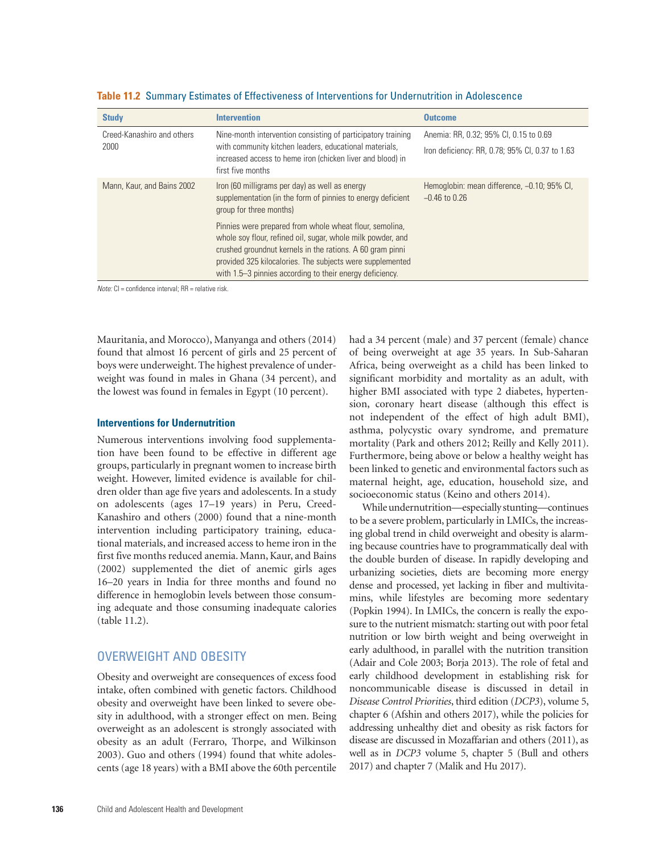| <b>Study</b>                       | <b>Intervention</b>                                                                                                                                                                                                                                                                                          | <b>Outcome</b>                                                                            |
|------------------------------------|--------------------------------------------------------------------------------------------------------------------------------------------------------------------------------------------------------------------------------------------------------------------------------------------------------------|-------------------------------------------------------------------------------------------|
| Creed-Kanashiro and others<br>2000 | Nine-month intervention consisting of participatory training<br>with community kitchen leaders, educational materials,<br>increased access to heme iron (chicken liver and blood) in<br>first five months                                                                                                    | Anemia: RR, 0.32; 95% CI, 0.15 to 0.69<br>Iron deficiency: RR, 0.78; 95% CI, 0.37 to 1.63 |
| Mann, Kaur, and Bains 2002         | Iron (60 milligrams per day) as well as energy<br>supplementation (in the form of pinnies to energy deficient<br>group for three months)                                                                                                                                                                     | Hemoglobin: mean difference, -0.10; 95% CI,<br>$-0.46$ to $0.26$                          |
|                                    | Pinnies were prepared from whole wheat flour, semolina,<br>whole soy flour, refined oil, sugar, whole milk powder, and<br>crushed groundnut kernels in the rations. A 60 gram pinni<br>provided 325 kilocalories. The subjects were supplemented<br>with 1.5–3 pinnies according to their energy deficiency. |                                                                                           |

**Table 11.2** Summary Estimates of Effectiveness of Interventions for Undernutrition in Adolescence

 $Note: Cl = confidence interval: RR = relative risk.$ 

Mauritania, and Morocco), Manyanga and others (2014) found that almost 16 percent of girls and 25 percent of boys were underweight. The highest prevalence of underweight was found in males in Ghana (34 percent), and the lowest was found in females in Egypt (10 percent).

#### **Interventions for Undernutrition**

Numerous interventions involving food supplementation have been found to be effective in different age groups, particularly in pregnant women to increase birth weight. However, limited evidence is available for children older than age five years and adolescents. In a study on adolescents (ages 17–19 years) in Peru, Creed-Kanashiro and others (2000) found that a nine-month intervention including participatory training, educational materials, and increased access to heme iron in the first five months reduced anemia. Mann, Kaur, and Bains (2002) supplemented the diet of anemic girls ages 16–20 years in India for three months and found no difference in hemoglobin levels between those consuming adequate and those consuming inadequate calories (table 11.2).

# OVERWEIGHT AND OBESITY

Obesity and overweight are consequences of excess food intake, often combined with genetic factors. Childhood obesity and overweight have been linked to severe obesity in adulthood, with a stronger effect on men. Being overweight as an adolescent is strongly associated with obesity as an adult (Ferraro, Thorpe, and Wilkinson 2003). Guo and others (1994) found that white adolescents (age 18 years) with a BMI above the 60th percentile had a 34 percent (male) and 37 percent (female) chance of being overweight at age 35 years. In Sub-Saharan Africa, being overweight as a child has been linked to significant morbidity and mortality as an adult, with higher BMI associated with type 2 diabetes, hypertension, coronary heart disease (although this effect is not independent of the effect of high adult BMI), asthma, polycystic ovary syndrome, and premature mortality (Park and others 2012; Reilly and Kelly 2011). Furthermore, being above or below a healthy weight has been linked to genetic and environmental factors such as maternal height, age, education, household size, and socioeconomic status (Keino and others 2014).

While undernutrition—especially stunting—continues to be a severe problem, particularly in LMICs, the increasing global trend in child overweight and obesity is alarming because countries have to programmatically deal with the double burden of disease. In rapidly developing and urbanizing societies, diets are becoming more energy dense and processed, yet lacking in fiber and multivitamins, while lifestyles are becoming more sedentary (Popkin 1994). In LMICs, the concern is really the exposure to the nutrient mismatch: starting out with poor fetal nutrition or low birth weight and being overweight in early adulthood, in parallel with the nutrition transition (Adair and Cole 2003; Borja 2013). The role of fetal and early childhood development in establishing risk for noncommunicable disease is discussed in detail in *Disease Control Priorities*, third edition (*DCP3*), volume 5, chapter 6 (Afshin and others 2017), while the policies for addressing unhealthy diet and obesity as risk factors for disease are discussed in Mozaffarian and others (2011), as well as in *DCP3* volume 5, chapter 5 (Bull and others 2017) and chapter 7 (Malik and Hu 2017).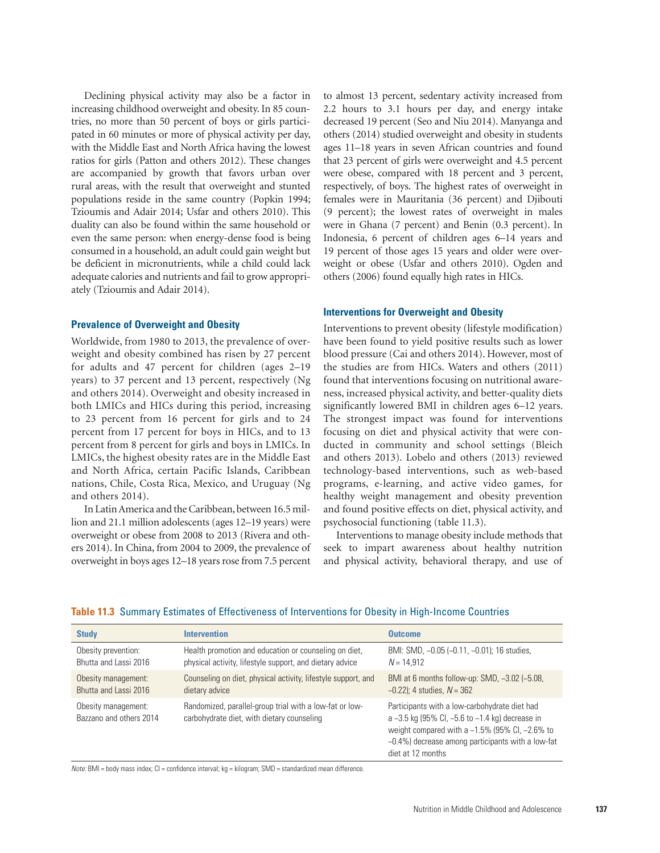Declining physical activity may also be a factor in increasing childhood overweight and obesity. In 85 countries, no more than 50 percent of boys or girls participated in 60 minutes or more of physical activity per day, with the Middle East and North Africa having the lowest ratios for girls (Patton and others 2012). These changes are accompanied by growth that favors urban over rural areas, with the result that overweight and stunted populations reside in the same country (Popkin 1994; Tzioumis and Adair 2014; Usfar and others 2010). This duality can also be found within the same household or even the same person: when energy-dense food is being consumed in a household, an adult could gain weight but be deficient in micronutrients, while a child could lack adequate calories and nutrients and fail to grow appropriately (Tzioumis and Adair 2014).

## **Prevalence of Overweight and Obesity**

Worldwide, from 1980 to 2013, the prevalence of overweight and obesity combined has risen by 27 percent for adults and 47 percent for children (ages 2–19 years) to 37 percent and 13 percent, respectively (Ng and others 2014). Overweight and obesity increased in both LMICs and HICs during this period, increasing to 23 percent from 16 percent for girls and to 24 percent from 17 percent for boys in HICs, and to 13 percent from 8 percent for girls and boys in LMICs. In LMICs, the highest obesity rates are in the Middle East and North Africa, certain Pacific Islands, Caribbean nations, Chile, Costa Rica, Mexico, and Uruguay (Ng and others 2014).

In Latin America and the Caribbean, between 16.5 million and 21.1 million adolescents (ages 12–19 years) were overweight or obese from 2008 to 2013 (Rivera and others 2014). In China, from 2004 to 2009, the prevalence of overweight in boys ages 12–18 years rose from 7.5 percent to almost 13 percent, sedentary activity increased from 2.2 hours to 3.1 hours per day, and energy intake decreased 19 percent (Seo and Niu 2014). Manyanga and others (2014) studied overweight and obesity in students ages 11–18 years in seven African countries and found that 23 percent of girls were overweight and 4.5 percent were obese, compared with 18 percent and 3 percent, respectively, of boys. The highest rates of overweight in females were in Mauritania (36 percent) and Djibouti (9 percent); the lowest rates of overweight in males were in Ghana (7 percent) and Benin (0.3 percent). In Indonesia, 6 percent of children ages 6–14 years and 19 percent of those ages 15 years and older were overweight or obese (Usfar and others 2010). Ogden and others (2006) found equally high rates in HICs.

#### **Interventions for Overweight and Obesity**

Interventions to prevent obesity (lifestyle modification) have been found to yield positive results such as lower blood pressure (Cai and others 2014). However, most of the studies are from HICs. Waters and others (2011) found that interventions focusing on nutritional awareness, increased physical activity, and better-quality diets significantly lowered BMI in children ages 6–12 years. The strongest impact was found for interventions focusing on diet and physical activity that were conducted in community and school settings (Bleich and others 2013). Lobelo and others (2013) reviewed technology-based interventions, such as web-based programs, e-learning, and active video games, for healthy weight management and obesity prevention and found positive effects on diet, physical activity, and psychosocial functioning (table 11.3).

Interventions to manage obesity include methods that seek to impart awareness about healthy nutrition and physical activity, behavioral therapy, and use of

| <b>Study</b>                                   | <b>Intervention</b>                                                                                   | <b>Outcome</b>                                                                                                                                                                                                                                |
|------------------------------------------------|-------------------------------------------------------------------------------------------------------|-----------------------------------------------------------------------------------------------------------------------------------------------------------------------------------------------------------------------------------------------|
| Obesity prevention:                            | Health promotion and education or counseling on diet,                                                 | BMI: SMD, -0.05 (-0.11, -0.01); 16 studies,                                                                                                                                                                                                   |
| Bhutta and Lassi 2016                          | physical activity, lifestyle support, and dietary advice                                              | $N = 14.912$                                                                                                                                                                                                                                  |
| Obesity management:                            | Counseling on diet, physical activity, lifestyle support, and                                         | BMI at 6 months follow-up: SMD, -3.02 (-5.08,                                                                                                                                                                                                 |
| Bhutta and Lassi 2016                          | dietary advice                                                                                        | $-0.22$ ); 4 studies, $N = 362$                                                                                                                                                                                                               |
| Obesity management:<br>Bazzano and others 2014 | Randomized, parallel-group trial with a low-fat or low-<br>carbohydrate diet, with dietary counseling | Participants with a low-carbohydrate diet had<br>$a - 3.5$ kg (95% Cl, $-5.6$ to $-1.4$ kg) decrease in<br>weight compared with a $-1.5\%$ (95% Cl, $-2.6\%$ to<br>$-0.4\%$ ) decrease among participants with a low-fat<br>diet at 12 months |

#### **Table 11.3** Summary Estimates of Effectiveness of Interventions for Obesity in High-Income Countries

Note: BMI = body mass index; CI = confidence interval; kg = kilogram; SMD = standardized mean difference.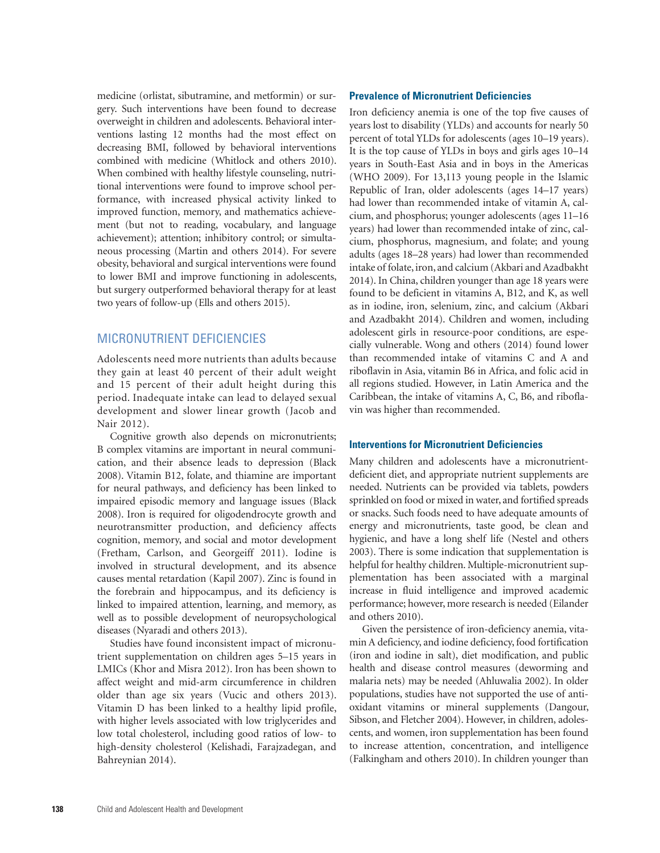medicine (orlistat, sibutramine, and metformin) or surgery. Such interventions have been found to decrease overweight in children and adolescents. Behavioral interventions lasting 12 months had the most effect on decreasing BMI, followed by behavioral interventions combined with medicine (Whitlock and others 2010). When combined with healthy lifestyle counseling, nutritional interventions were found to improve school performance, with increased physical activity linked to improved function, memory, and mathematics achievement (but not to reading, vocabulary, and language achievement); attention; inhibitory control; or simultaneous processing (Martin and others 2014). For severe obesity, behavioral and surgical interventions were found to lower BMI and improve functioning in adolescents, but surgery outperformed behavioral therapy for at least two years of follow-up (Ells and others 2015).

# MICRONUTRIENT DEFICIENCIES

Adolescents need more nutrients than adults because they gain at least 40 percent of their adult weight and 15 percent of their adult height during this period. Inadequate intake can lead to delayed sexual development and slower linear growth (Jacob and Nair 2012).

Cognitive growth also depends on micronutrients; B complex vitamins are important in neural communication, and their absence leads to depression (Black 2008). Vitamin B12, folate, and thiamine are important for neural pathways, and deficiency has been linked to impaired episodic memory and language issues (Black 2008). Iron is required for oligodendrocyte growth and neurotransmitter production, and deficiency affects cognition, memory, and social and motor development (Fretham, Carlson, and Georgeiff 2011). Iodine is involved in structural development, and its absence causes mental retardation (Kapil 2007). Zinc is found in the forebrain and hippocampus, and its deficiency is linked to impaired attention, learning, and memory, as well as to possible development of neuropsychological diseases (Nyaradi and others 2013).

Studies have found inconsistent impact of micronutrient supplementation on children ages 5–15 years in LMICs (Khor and Misra 2012). Iron has been shown to affect weight and mid-arm circumference in children older than age six years (Vucic and others 2013). Vitamin D has been linked to a healthy lipid profile, with higher levels associated with low triglycerides and low total cholesterol, including good ratios of low- to high-density cholesterol (Kelishadi, Farajzadegan, and Bahreynian 2014).

## **Prevalence of Micronutrient Deficiencies**

Iron deficiency anemia is one of the top five causes of years lost to disability (YLDs) and accounts for nearly 50 percent of total YLDs for adolescents (ages 10–19 years). It is the top cause of YLDs in boys and girls ages 10–14 years in South-East Asia and in boys in the Americas (WHO 2009). For 13,113 young people in the Islamic Republic of Iran, older adolescents (ages 14–17 years) had lower than recommended intake of vitamin A, calcium, and phosphorus; younger adolescents (ages 11–16 years) had lower than recommended intake of zinc, calcium, phosphorus, magnesium, and folate; and young adults (ages 18–28 years) had lower than recommended intake of folate, iron, and calcium (Akbari and Azadbakht 2014). In China, children younger than age 18 years were found to be deficient in vitamins A, B12, and K, as well as in iodine, iron, selenium, zinc, and calcium (Akbari and Azadbakht 2014). Children and women, including adolescent girls in resource-poor conditions, are especially vulnerable. Wong and others (2014) found lower than recommended intake of vitamins C and A and riboflavin in Asia, vitamin B6 in Africa, and folic acid in all regions studied. However, in Latin America and the Caribbean, the intake of vitamins A, C, B6, and riboflavin was higher than recommended.

#### **Interventions for Micronutrient Deficiencies**

Many children and adolescents have a micronutrientdeficient diet, and appropriate nutrient supplements are needed. Nutrients can be provided via tablets, powders sprinkled on food or mixed in water, and fortified spreads or snacks. Such foods need to have adequate amounts of energy and micronutrients, taste good, be clean and hygienic, and have a long shelf life (Nestel and others 2003). There is some indication that supplementation is helpful for healthy children. Multiple-micronutrient supplementation has been associated with a marginal increase in fluid intelligence and improved academic performance; however, more research is needed (Eilander and others 2010).

Given the persistence of iron-deficiency anemia, vitamin A deficiency, and iodine deficiency, food fortification (iron and iodine in salt), diet modification, and public health and disease control measures (deworming and malaria nets) may be needed (Ahluwalia 2002). In older populations, studies have not supported the use of antioxidant vitamins or mineral supplements (Dangour, Sibson, and Fletcher 2004). However, in children, adolescents, and women, iron supplementation has been found to increase attention, concentration, and intelligence (Falkingham and others 2010). In children younger than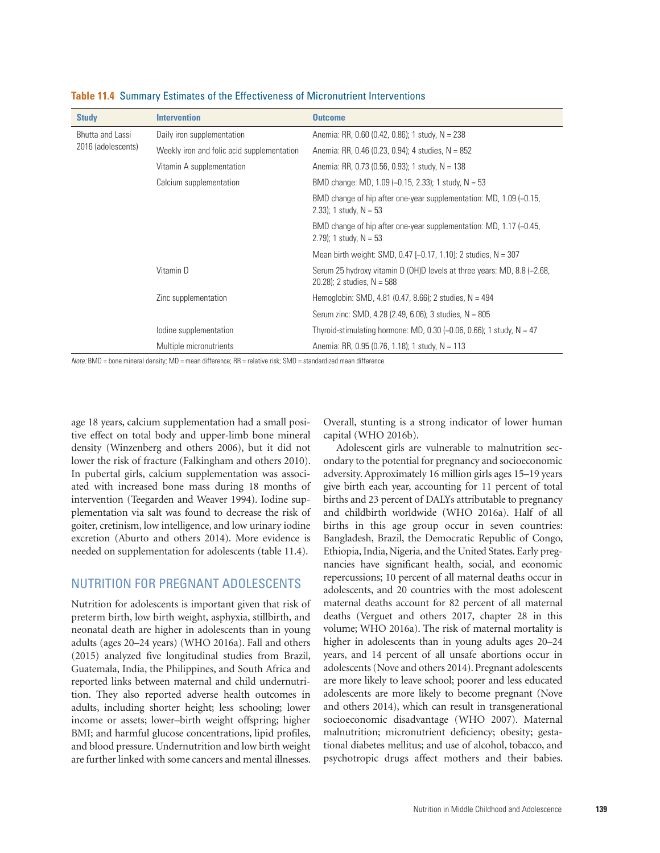| <b>Study</b>                           | <b>Intervention</b>                        | <b>Outcome</b>                                                                                          |
|----------------------------------------|--------------------------------------------|---------------------------------------------------------------------------------------------------------|
| Bhutta and Lassi<br>2016 (adolescents) | Daily iron supplementation                 | Anemia: RR, 0.60 (0.42, 0.86); 1 study, N = 238                                                         |
|                                        | Weekly iron and folic acid supplementation | Anemia: RR, 0.46 (0.23, 0.94); 4 studies, N = 852                                                       |
|                                        | Vitamin A supplementation                  | Anemia: RR, 0.73 (0.56, 0.93); 1 study, N = 138                                                         |
|                                        | Calcium supplementation                    | BMD change: MD, 1.09 (-0.15, 2.33); 1 study, $N = 53$                                                   |
|                                        |                                            | BMD change of hip after one-year supplementation: MD, 1.09 (-0.15,<br>2.33); 1 study, $N = 53$          |
|                                        |                                            | BMD change of hip after one-year supplementation: MD, 1.17 (-0.45,<br>2.79); 1 study, $N = 53$          |
|                                        |                                            | Mean birth weight: SMD, 0.47 $[-0.17, 1.10]$ ; 2 studies, N = 307                                       |
|                                        | Vitamin D                                  | Serum 25 hydroxy vitamin D (OH)D levels at three years: MD, 8.8 (-2.68,<br>20.28); 2 studies, $N = 588$ |
|                                        | Zinc supplementation                       | Hemoglobin: SMD, 4.81 (0.47, 8.66); 2 studies, $N = 494$                                                |
|                                        |                                            | Serum zinc: SMD, 4.28 (2.49, 6.06); 3 studies, N = 805                                                  |
|                                        | lodine supplementation                     | Thyroid-stimulating hormone: MD, 0.30 ( $-0.06$ , 0.66); 1 study, $N = 47$                              |
|                                        | Multiple micronutrients                    | Anemia: RR, 0.95 (0.76, 1.18); 1 study, N = 113                                                         |

#### **Table 11.4** Summary Estimates of the Effectiveness of Micronutrient Interventions

Note: BMD = bone mineral density; MD = mean difference; RR = relative risk; SMD = standardized mean difference.

age 18 years, calcium supplementation had a small positive effect on total body and upper-limb bone mineral density (Winzenberg and others 2006), but it did not lower the risk of fracture (Falkingham and others 2010). In pubertal girls, calcium supplementation was associated with increased bone mass during 18 months of intervention (Teegarden and Weaver 1994). Iodine supplementation via salt was found to decrease the risk of goiter, cretinism, low intelligence, and low urinary iodine excretion (Aburto and others 2014). More evidence is needed on supplementation for adolescents (table 11.4).

# NUTRITION FOR PREGNANT ADOLESCENTS

Nutrition for adolescents is important given that risk of preterm birth, low birth weight, asphyxia, stillbirth, and neonatal death are higher in adolescents than in young adults (ages 20–24 years) (WHO 2016a). Fall and others (2015) analyzed five longitudinal studies from Brazil, Guatemala, India, the Philippines, and South Africa and reported links between maternal and child undernutrition. They also reported adverse health outcomes in adults, including shorter height; less schooling; lower income or assets; lower–birth weight offspring; higher BMI; and harmful glucose concentrations, lipid profiles, and blood pressure. Undernutrition and low birth weight are further linked with some cancers and mental illnesses.

Overall, stunting is a strong indicator of lower human capital (WHO 2016b).

Adolescent girls are vulnerable to malnutrition secondary to the potential for pregnancy and socioeconomic adversity. Approximately 16 million girls ages 15–19 years give birth each year, accounting for 11 percent of total births and 23 percent of DALYs attributable to pregnancy and childbirth worldwide (WHO 2016a). Half of all births in this age group occur in seven countries: Bangladesh, Brazil, the Democratic Republic of Congo, Ethiopia, India, Nigeria, and the United States. Early pregnancies have significant health, social, and economic repercussions; 10 percent of all maternal deaths occur in adolescents, and 20 countries with the most adolescent maternal deaths account for 82 percent of all maternal deaths (Verguet and others 2017, chapter 28 in this volume; WHO 2016a). The risk of maternal mortality is higher in adolescents than in young adults ages 20–24 years, and 14 percent of all unsafe abortions occur in adolescents (Nove and others 2014). Pregnant adolescents are more likely to leave school; poorer and less educated adolescents are more likely to become pregnant (Nove and others 2014), which can result in transgenerational socioeconomic disadvantage (WHO 2007). Maternal malnutrition; micronutrient deficiency; obesity; gestational diabetes mellitus; and use of alcohol, tobacco, and psychotropic drugs affect mothers and their babies.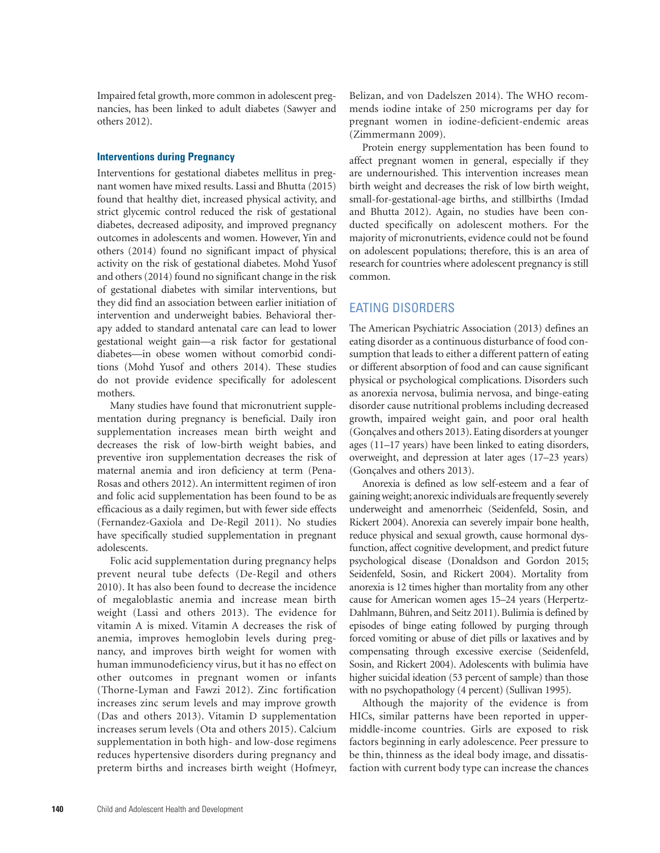Impaired fetal growth, more common in adolescent pregnancies, has been linked to adult diabetes (Sawyer and others 2012).

## **Interventions during Pregnancy**

Interventions for gestational diabetes mellitus in pregnant women have mixed results. Lassi and Bhutta (2015) found that healthy diet, increased physical activity, and strict glycemic control reduced the risk of gestational diabetes, decreased adiposity, and improved pregnancy outcomes in adolescents and women. However, Yin and others (2014) found no significant impact of physical activity on the risk of gestational diabetes. Mohd Yusof and others (2014) found no significant change in the risk of gestational diabetes with similar interventions, but they did find an association between earlier initiation of intervention and underweight babies. Behavioral therapy added to standard antenatal care can lead to lower gestational weight gain—a risk factor for gestational diabetes—in obese women without comorbid conditions (Mohd Yusof and others 2014). These studies do not provide evidence specifically for adolescent mothers.

Many studies have found that micronutrient supplementation during pregnancy is beneficial. Daily iron supplementation increases mean birth weight and decreases the risk of low-birth weight babies, and preventive iron supplementation decreases the risk of maternal anemia and iron deficiency at term (Pena-Rosas and others 2012). An intermittent regimen of iron and folic acid supplementation has been found to be as efficacious as a daily regimen, but with fewer side effects (Fernandez-Gaxiola and De-Regil 2011). No studies have specifically studied supplementation in pregnant adolescents.

Folic acid supplementation during pregnancy helps prevent neural tube defects (De-Regil and others 2010). It has also been found to decrease the incidence of megaloblastic anemia and increase mean birth weight (Lassi and others 2013). The evidence for vitamin A is mixed. Vitamin A decreases the risk of anemia, improves hemoglobin levels during pregnancy, and improves birth weight for women with human immunodeficiency virus, but it has no effect on other outcomes in pregnant women or infants (Thorne-Lyman and Fawzi 2012). Zinc fortification increases zinc serum levels and may improve growth (Das and others 2013). Vitamin D supplementation increases serum levels (Ota and others 2015). Calcium supplementation in both high- and low-dose regimens reduces hypertensive disorders during pregnancy and preterm births and increases birth weight (Hofmeyr,

Belizan, and von Dadelszen 2014). The WHO recommends iodine intake of 250 micrograms per day for pregnant women in iodine-deficient- endemic areas (Zimmermann 2009).

Protein energy supplementation has been found to affect pregnant women in general, especially if they are undernourished. This intervention increases mean birth weight and decreases the risk of low birth weight, small-for-gestational-age births, and stillbirths (Imdad and Bhutta 2012). Again, no studies have been conducted specifically on adolescent mothers. For the majority of micronutrients, evidence could not be found on adolescent populations; therefore, this is an area of research for countries where adolescent pregnancy is still common.

# EATING DISORDERS

The American Psychiatric Association (2013) defines an eating disorder as a continuous disturbance of food consumption that leads to either a different pattern of eating or different absorption of food and can cause significant physical or psychological complications. Disorders such as anorexia nervosa, bulimia nervosa, and binge-eating disorder cause nutritional problems including decreased growth, impaired weight gain, and poor oral health (Gonçalves and others 2013). Eating disorders at younger ages (11–17 years) have been linked to eating disorders, overweight, and depression at later ages (17–23 years) (Gonçalves and others 2013).

Anorexia is defined as low self-esteem and a fear of gaining weight; anorexic individuals are frequently severely underweight and amenorrheic (Seidenfeld, Sosin, and Rickert 2004). Anorexia can severely impair bone health, reduce physical and sexual growth, cause hormonal dysfunction, affect cognitive development, and predict future psychological disease (Donaldson and Gordon 2015; Seidenfeld, Sosin, and Rickert 2004). Mortality from anorexia is 12 times higher than mortality from any other cause for American women ages 15–24 years (Herpertz-Dahlmann, Bühren, and Seitz 2011). Bulimia is defined by episodes of binge eating followed by purging through forced vomiting or abuse of diet pills or laxatives and by compensating through excessive exercise (Seidenfeld, Sosin, and Rickert 2004). Adolescents with bulimia have higher suicidal ideation (53 percent of sample) than those with no psychopathology (4 percent) (Sullivan 1995).

Although the majority of the evidence is from HICs, similar patterns have been reported in uppermiddle-income countries. Girls are exposed to risk factors beginning in early adolescence. Peer pressure to be thin, thinness as the ideal body image, and dissatisfaction with current body type can increase the chances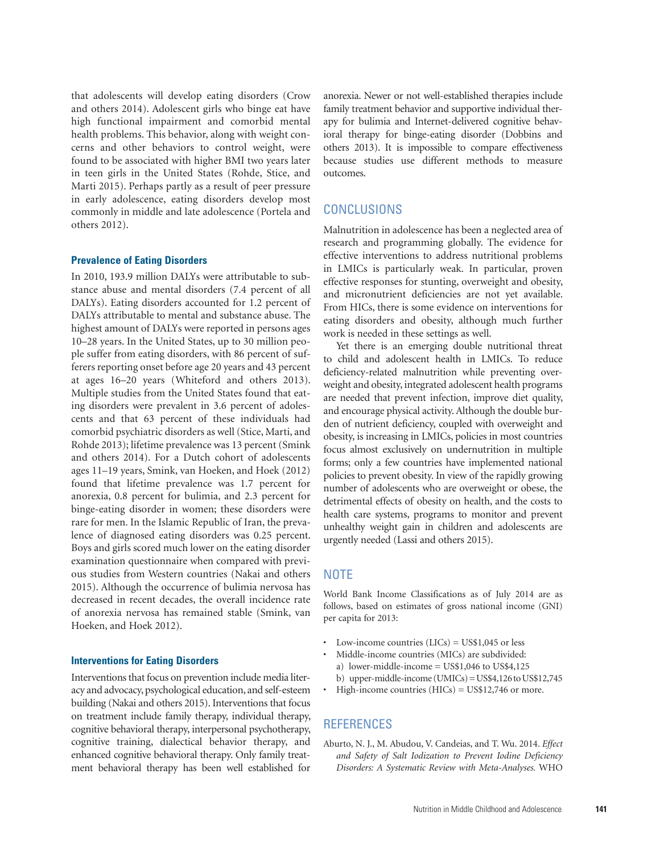that adolescents will develop eating disorders (Crow and others 2014). Adolescent girls who binge eat have high functional impairment and comorbid mental health problems. This behavior, along with weight concerns and other behaviors to control weight, were found to be associated with higher BMI two years later in teen girls in the United States (Rohde, Stice, and Marti 2015). Perhaps partly as a result of peer pressure in early adolescence, eating disorders develop most commonly in middle and late adolescence (Portela and others 2012).

## **Prevalence of Eating Disorders**

In 2010, 193.9 million DALYs were attributable to substance abuse and mental disorders (7.4 percent of all DALYs). Eating disorders accounted for 1.2 percent of DALYs attributable to mental and substance abuse. The highest amount of DALYs were reported in persons ages 10–28 years. In the United States, up to 30 million people suffer from eating disorders, with 86 percent of sufferers reporting onset before age 20 years and 43 percent at ages 16–20 years (Whiteford and others 2013). Multiple studies from the United States found that eating disorders were prevalent in 3.6 percent of adolescents and that 63 percent of these individuals had comorbid psychiatric disorders as well (Stice, Marti, and Rohde 2013); lifetime prevalence was 13 percent (Smink and others 2014). For a Dutch cohort of adolescents ages 11–19 years, Smink, van Hoeken, and Hoek (2012) found that lifetime prevalence was 1.7 percent for anorexia, 0.8 percent for bulimia, and 2.3 percent for binge-eating disorder in women; these disorders were rare for men. In the Islamic Republic of Iran, the prevalence of diagnosed eating disorders was 0.25 percent. Boys and girls scored much lower on the eating disorder examination questionnaire when compared with previous studies from Western countries (Nakai and others 2015). Although the occurrence of bulimia nervosa has decreased in recent decades, the overall incidence rate of anorexia nervosa has remained stable (Smink, van Hoeken, and Hoek 2012).

#### **Interventions for Eating Disorders**

Interventions that focus on prevention include media literacy and advocacy, psychological education, and self-esteem building (Nakai and others 2015). Interventions that focus on treatment include family therapy, individual therapy, cognitive behavioral therapy, interpersonal psychotherapy, cognitive training, dialectical behavior therapy, and enhanced cognitive behavioral therapy. Only family treatment behavioral therapy has been well established for anorexia. Newer or not well-established therapies include family treatment behavior and supportive individual therapy for bulimia and Internet-delivered cognitive behavioral therapy for binge-eating disorder (Dobbins and others 2013). It is impossible to compare effectiveness because studies use different methods to measure outcomes.

# **CONCLUSIONS**

Malnutrition in adolescence has been a neglected area of research and programming globally. The evidence for effective interventions to address nutritional problems in LMICs is particularly weak. In particular, proven effective responses for stunting, overweight and obesity, and micronutrient deficiencies are not yet available. From HICs, there is some evidence on interventions for eating disorders and obesity, although much further work is needed in these settings as well.

Yet there is an emerging double nutritional threat to child and adolescent health in LMICs. To reduce deficiency-related malnutrition while preventing overweight and obesity, integrated adolescent health programs are needed that prevent infection, improve diet quality, and encourage physical activity. Although the double burden of nutrient deficiency, coupled with overweight and obesity, is increasing in LMICs, policies in most countries focus almost exclusively on undernutrition in multiple forms; only a few countries have implemented national policies to prevent obesity. In view of the rapidly growing number of adolescents who are overweight or obese, the detrimental effects of obesity on health, and the costs to health care systems, programs to monitor and prevent unhealthy weight gain in children and adolescents are urgently needed (Lassi and others 2015).

## **NOTE**

World Bank Income Classifications as of July 2014 are as follows, based on estimates of gross national income (GNI) per capita for 2013:

- Low-income countries  $(LICs) = US$1,045$  or less
- Middle-income countries (MICs) are subdivided: a) lower-middle-income  $=$  US\$1,046 to US\$4,125
	- b) upper-middle-income (UMICs) = US\$4,126 to US\$12,745
- High-income countries  $(HICs) = US$12,746$  or more.

## **REFERENCES**

Aburto, N. J., M. Abudou, V. Candeias, and T. Wu. 2014. *Effect and Safety of Salt Iodization to Prevent Iodine Deficiency Disorders: A Systematic Review with Meta-Analyses.* WHO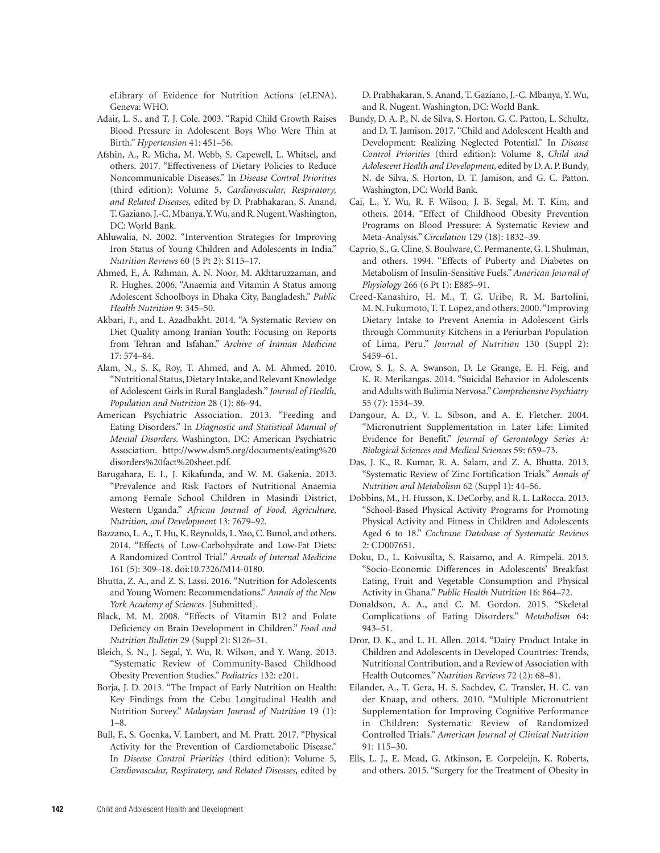eLibrary of Evidence for Nutrition Actions (eLENA). Geneva: WHO.

- Adair, L. S., and T. J. Cole. 2003. "Rapid Child Growth Raises Blood Pressure in Adolescent Boys Who Were Thin at Birth." *Hypertension* 41: 451–56.
- Afshin, A., R. Micha, M. Webb, S. Capewell, L. Whitsel, and others. 2017. "Effectiveness of Dietary Policies to Reduce Noncommunicable Diseases." In *Disease Control Priorities*  (third edition): Volume 5, *Cardiovascular, Respiratory, and Related Diseases,* edited by D. Prabhakaran, S. Anand, T. Gaziano, J.-C. Mbanya, Y. Wu, and R. Nugent. Washington, DC: World Bank.
- Ahluwalia, N. 2002. "Intervention Strategies for Improving Iron Status of Young Children and Adolescents in India." *Nutrition Reviews* 60 (5 Pt 2): S115–17.
- Ahmed, F., A. Rahman, A. N. Noor, M. Akhtaruzzaman, and R. Hughes. 2006. "Anaemia and Vitamin A Status among Adolescent Schoolboys in Dhaka City, Bangladesh." *Public Health Nutrition* 9: 345–50.
- Akbari, F., and L. Azadbakht. 2014. "A Systematic Review on Diet Quality among Iranian Youth: Focusing on Reports from Tehran and Isfahan." *Archive of Iranian Medicine*  17: 574–84.
- Alam, N., S. K, Roy, T. Ahmed, and A. M. Ahmed. 2010. "Nutritional Status, Dietary Intake, and Relevant Knowledge of Adolescent Girls in Rural Bangladesh." *Journal of Health, Population and Nutrition* 28 (1): 86–94.
- American Psychiatric Association. 2013. "Feeding and Eating Disorders." In *Diagnostic and Statistical Manual of Mental Disorders*. Washington, DC: American Psychiatric Association. [http://www.dsm5.org/documents/eating%20](http://www.dsm5.org/documents/eating%20disorders%20fact%20sheet.pdf) [disorders%20fact%20sheet.pdf.](http://www.dsm5.org/documents/eating%20disorders%20fact%20sheet.pdf)
- Barugahara, E. I., J. Kikafunda, and W. M. Gakenia. 2013. "Prevalence and Risk Factors of Nutritional Anaemia among Female School Children in Masindi District, Western Uganda." *African Journal of Food, Agriculture, Nutrition, and Development* 13: 7679–92.
- Bazzano, L. A., T. Hu, K. Reynolds, L. Yao, C. Bunol, and others. 2014. "Effects of Low-Carbohydrate and Low-Fat Diets: A Randomized Control Trial." *Annals of Internal Medicine* 161 (5): 309–18. doi:10.7326/M14-0180.
- Bhutta, Z. A., and Z. S. Lassi. 2016. "Nutrition for Adolescents and Young Women: Recommendations." *Annals of the New York Academy of Sciences*. [Submitted].
- Black, M. M. 2008. "Effects of Vitamin B12 and Folate Deficiency on Brain Development in Children." *Food and Nutrition Bulletin* 29 (Suppl 2): S126–31.
- Bleich, S. N., J. Segal, Y. Wu, R. Wilson, and Y. Wang. 2013. "Systematic Review of Community-Based Childhood Obesity Prevention Studies." *Pediatrics* 132: e201.
- Borja, J. D. 2013. "The Impact of Early Nutrition on Health: Key Findings from the Cebu Longitudinal Health and Nutrition Survey." *Malaysian Journal of Nutrition* 19 (1): 1–8.
- Bull, F., S. Goenka, V. Lambert, and M. Pratt. 2017. "Physical Activity for the Prevention of Cardiometabolic Disease." In *Disease Control Priorities* (third edition): Volume 5*, Cardiovascular, Respiratory, and Related Diseases,* edited by

D. Prabhakaran, S. Anand, T. Gaziano, J.-C. Mbanya, Y. Wu, and R. Nugent. Washington, DC: World Bank.

- Bundy, D. A. P., N. de Silva, S. Horton, G. C. Patton, L. Schultz, and D. T. Jamison. 2017. "Child and Adolescent Health and Development: Realizing Neglected Potential." In *Disease Control Priorities* (third edition): Volume 8, *Child and Adolescent Health and Development,* edited by D. A. P. Bundy, N. de Silva, S. Horton, D. T. Jamison, and G. C. Patton. Washington, DC: World Bank.
- Cai, L., Y. Wu, R. F. Wilson, J. B. Segal, M. T. Kim, and others. 2014. "Effect of Childhood Obesity Prevention Programs on Blood Pressure: A Systematic Review and Meta-Analysis." *Circulation* 129 (18): 1832–39.
- Caprio, S., G. Cline, S. Boulware, C. Permanente, G. I. Shulman, and others. 1994. "Effects of Puberty and Diabetes on Metabolism of Insulin-Sensitive Fuels." *American Journal of Physiology* 266 (6 Pt 1): E885–91.
- Creed-Kanashiro, H. M., T. G. Uribe, R. M. Bartolini, M. N. Fukumoto, T. T. Lopez, and others. 2000. "Improving Dietary Intake to Prevent Anemia in Adolescent Girls through Community Kitchens in a Periurban Population of Lima, Peru." *Journal of Nutrition* 130 (Suppl 2): S459–61.
- Crow, S. J., S. A. Swanson, D. Le Grange, E. H. Feig, and K. R. Merikangas. 2014. "Suicidal Behavior in Adolescents and Adults with Bulimia Nervosa." *Comprehensive Psychiatry* 55 (7): 1534–39.
- Dangour, A. D., V. L. Sibson, and A. E. Fletcher. 2004. "Micronutrient Supplementation in Later Life: Limited Evidence for Benefit." *Journal of Gerontology Series A: Biological Sciences and Medical Sciences* 59: 659–73.
- Das, J. K., R. Kumar, R. A. Salam, and Z. A. Bhutta. 2013. "Systematic Review of Zinc Fortification Trials." *Annals of Nutrition and Metabolism* 62 (Suppl 1): 44–56.
- Dobbins, M., H. Husson, K. DeCorby, and R. L. LaRocca. 2013. "School-Based Physical Activity Programs for Promoting Physical Activity and Fitness in Children and Adolescents Aged 6 to 18." *Cochrane Database of Systematic Reviews* 2: CD007651.
- Doku, D., L. Koivusilta, S. Raisamo, and A. Rimpelä. 2013. "Socio-Economic Differences in Adolescents' Breakfast Eating, Fruit and Vegetable Consumption and Physical Activity in Ghana." *Public Health Nutrition* 16: 864–72.
- Donaldson, A. A., and C. M. Gordon. 2015. "Skeletal Complications of Eating Disorders." *Metabolism* 64: 943–51.
- Dror, D. K., and L. H. Allen. 2014. "Dairy Product Intake in Children and Adolescents in Developed Countries: Trends, Nutritional Contribution, and a Review of Association with Health Outcomes." *Nutrition Reviews* 72 (2): 68–81.
- Eilander, A., T. Gera, H. S. Sachdev, C. Transler, H. C. van der Knaap, and others. 2010. "Multiple Micronutrient Supplementation for Improving Cognitive Performance in Children: Systematic Review of Randomized Controlled Trials." *American Journal of Clinical Nutrition*  91: 115–30.
- Ells, L. J., E. Mead, G. Atkinson, E. Corpeleijn, K. Roberts, and others. 2015. "Surgery for the Treatment of Obesity in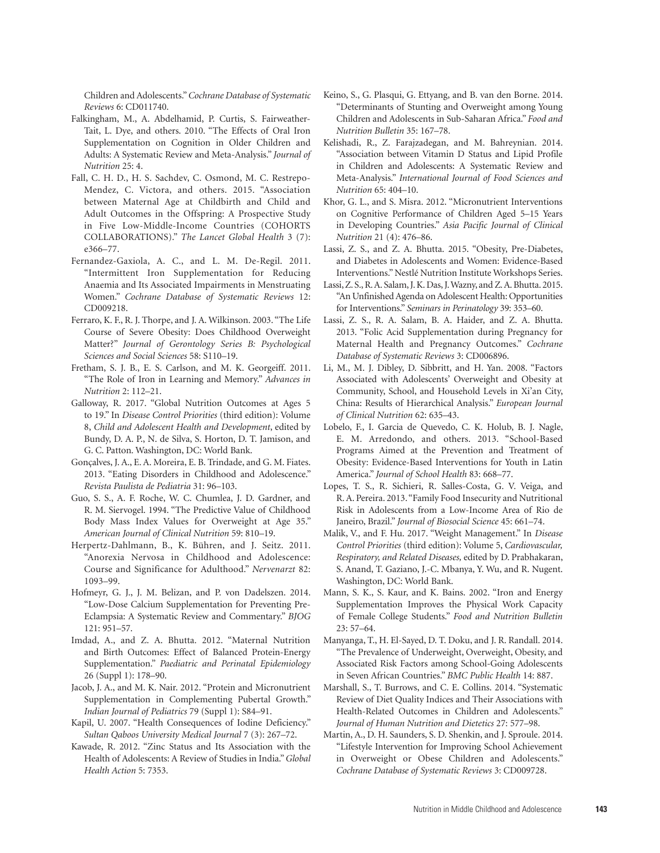Children and Adolescents." *Cochrane Database of Systematic Reviews* 6: CD011740.

- Falkingham, M., A. Abdelhamid, P. Curtis, S. Fairweather-Tait, L. Dye, and others. 2010. "The Effects of Oral Iron Supplementation on Cognition in Older Children and Adults: A Systematic Review and Meta-Analysis." *Journal of Nutrition* 25: 4.
- Fall, C. H. D., H. S. Sachdev, C. Osmond, M. C. Restrepo-Mendez, C. Victora, and others. 2015. "Association between Maternal Age at Childbirth and Child and Adult Outcomes in the Offspring: A Prospective Study in Five Low-Middle-Income Countries (COHORTS COLLABORATIONS)." *The Lancet Global Health* 3 (7): e366–77.
- Fernandez-Gaxiola, A. C., and L. M. De-Regil. 2011. "Intermittent Iron Supplementation for Reducing Anaemia and Its Associated Impairments in Menstruating Women." *Cochrane Database of Systematic Reviews* 12: CD009218.
- Ferraro, K. F., R. J. Thorpe, and J. A. Wilkinson. 2003. "The Life Course of Severe Obesity: Does Childhood Overweight Matter?" *Journal of Gerontology Series B: Psychological Sciences and Social Sciences* 58: S110–19.
- Fretham, S. J. B., E. S. Carlson, and M. K. Georgeiff. 2011. "The Role of Iron in Learning and Memory." *Advances in Nutrition* 2: 112–21.
- Galloway, R. 2017. "Global Nutrition Outcomes at Ages 5 to 19." In *Disease Control Priorities* (third edition): Volume 8, *Child and Adolescent Health and Development*, edited by Bundy, D. A. P., N. de Silva, S. Horton, D. T. Jamison, and G. C. Patton. Washington, DC: World Bank.
- Gonçalves, J. A., E. A. Moreira, E. B. Trindade, and G. M. Fiates. 2013. "Eating Disorders in Childhood and Adolescence." *Revista Paulista de Pediatria* 31: 96–103.
- Guo, S. S., A. F. Roche, W. C. Chumlea, J. D. Gardner, and R. M. Siervogel. 1994. "The Predictive Value of Childhood Body Mass Index Values for Overweight at Age 35." *American Journal of Clinical Nutrition* 59: 810–19.
- Herpertz-Dahlmann, B., K. Bühren, and J. Seitz. 2011. "Anorexia Nervosa in Childhood and Adolescence: Course and Significance for Adulthood." *Nervenarzt* 82: 1093–99.
- Hofmeyr, G. J., J. M. Belizan, and P. von Dadelszen. 2014. "Low-Dose Calcium Supplementation for Preventing Pre-Eclampsia: A Systematic Review and Commentary." *BJOG*  121: 951–57.
- Imdad, A., and Z. A. Bhutta. 2012. "Maternal Nutrition and Birth Outcomes: Effect of Balanced Protein-Energy Supplementation." *Paediatric and Perinatal Epidemiology* 26 (Suppl 1): 178–90.
- Jacob, J. A., and M. K. Nair. 2012. "Protein and Micronutrient Supplementation in Complementing Pubertal Growth." *Indian Journal of Pediatrics* 79 (Suppl 1): S84–91.
- Kapil, U. 2007. "Health Consequences of Iodine Deficiency." *Sultan Qaboos University Medical Journal* 7 (3): 267–72.
- Kawade, R. 2012. "Zinc Status and Its Association with the Health of Adolescents: A Review of Studies in India." *Global Health Action* 5: 7353.
- Keino, S., G. Plasqui, G. Ettyang, and B. van den Borne. 2014. "Determinants of Stunting and Overweight among Young Children and Adolescents in Sub-Saharan Africa." *Food and Nutrition Bulletin* 35: 167–78.
- Kelishadi, R., Z. Farajzadegan, and M. Bahreynian. 2014. "Association between Vitamin D Status and Lipid Profile in Children and Adolescents: A Systematic Review and Meta-Analysis." *International Journal of Food Sciences and Nutrition* 65: 404–10.
- Khor, G. L., and S. Misra. 2012. "Micronutrient Interventions on Cognitive Performance of Children Aged 5–15 Years in Developing Countries." *Asia Pacific Journal of Clinical Nutrition* 21 (4): 476–86.
- Lassi, Z. S., and Z. A. Bhutta. 2015. "Obesity, Pre-Diabetes, and Diabetes in Adolescents and Women: Evidence-Based Interventions." Nestlé Nutrition Institute Workshops Series.
- Lassi, Z. S., R. A. Salam, J. K. Das, J. Wazny, and Z. A. Bhutta. 2015. "An Unfinished Agenda on Adolescent Health: Opportunities for Interventions." *Seminars in Perinatology* 39: 353–60.
- Lassi, Z. S., R. A. Salam, B. A. Haider, and Z. A. Bhutta. 2013. "Folic Acid Supplementation during Pregnancy for Maternal Health and Pregnancy Outcomes." *Cochrane Database of Systematic Reviews* 3: CD006896.
- Li, M., M. J. Dibley, D. Sibbritt, and H. Yan. 2008. "Factors Associated with Adolescents' Overweight and Obesity at Community, School, and Household Levels in Xi'an City, China: Results of Hierarchical Analysis." *European Journal of Clinical Nutrition* 62: 635–43.
- Lobelo, F., I. Garcia de Quevedo, C. K. Holub, B. J. Nagle, E. M. Arredondo, and others. 2013. "School-Based Programs Aimed at the Prevention and Treatment of Obesity: Evidence-Based Interventions for Youth in Latin America." *Journal of School Health* 83: 668–77.
- Lopes, T. S., R. Sichieri, R. Salles-Costa, G. V. Veiga, and R. A. Pereira. 2013. "Family Food Insecurity and Nutritional Risk in Adolescents from a Low-Income Area of Rio de Janeiro, Brazil." *Journal of Biosocial Science* 45: 661–74.
- Malik, V., and F. Hu. 2017. "Weight Management." In *Disease Control Priorities* (third edition): Volume 5, *Cardiovascular, Respiratory, and Related Diseases,* edited by D. Prabhakaran, S. Anand, T. Gaziano, J.-C. Mbanya, Y. Wu, and R. Nugent. Washington, DC: World Bank.
- Mann, S. K., S. Kaur, and K. Bains. 2002. "Iron and Energy Supplementation Improves the Physical Work Capacity of Female College Students." *Food and Nutrition Bulletin* 23: 57–64.
- Manyanga, T., H. El-Sayed, D. T. Doku, and J. R. Randall. 2014. "The Prevalence of Underweight, Overweight, Obesity, and Associated Risk Factors among School-Going Adolescents in Seven African Countries." *BMC Public Health* 14: 887.
- Marshall, S., T. Burrows, and C. E. Collins. 2014. "Systematic Review of Diet Quality Indices and Their Associations with Health-Related Outcomes in Children and Adolescents." *Journal of Human Nutrition and Dietetics* 27: 577–98.
- Martin, A., D. H. Saunders, S. D. Shenkin, and J. Sproule. 2014. "Lifestyle Intervention for Improving School Achievement in Overweight or Obese Children and Adolescents." *Cochrane Database of Systematic Reviews* 3: CD009728.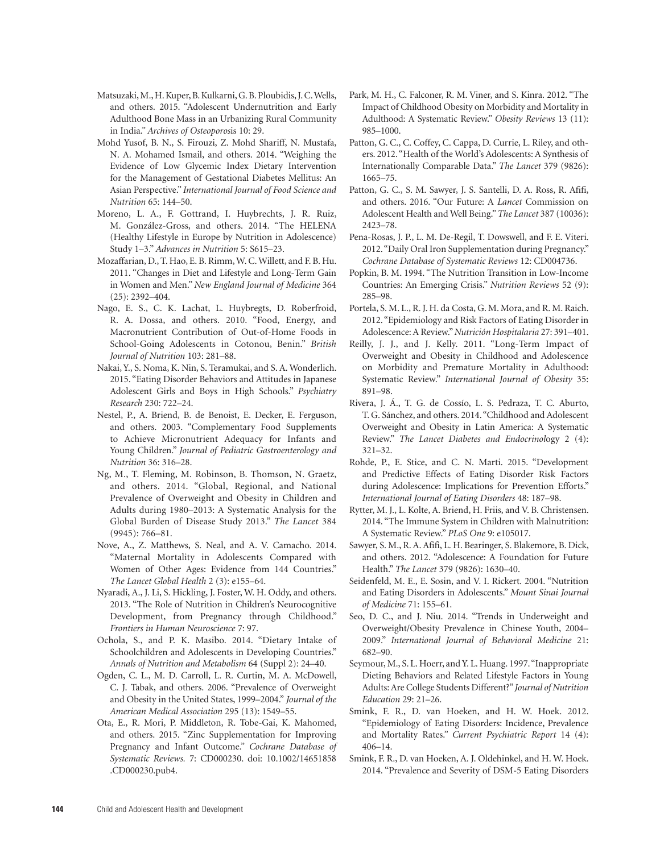- Matsuzaki, M., H. Kuper, B. Kulkarni, G. B. Ploubidis, J. C. Wells, and others. 2015. "Adolescent Undernutrition and Early Adulthood Bone Mass in an Urbanizing Rural Community in India." *Archives of Osteoporos*is 10: 29.
- Mohd Yusof, B. N., S. Firouzi, Z. Mohd Shariff, N. Mustafa, N. A. Mohamed Ismail, and others. 2014. "Weighing the Evidence of Low Glycemic Index Dietary Intervention for the Management of Gestational Diabetes Mellitus: An Asian Perspective." *International Journal of Food Science and Nutrition* 65: 144–50.
- Moreno, L. A., F. Gottrand, I. Huybrechts, J. R. Ruiz, M. González-Gross, and others. 2014. "The HELENA (Healthy Lifestyle in Europe by Nutrition in Adolescence) Study 1–3." *Advances in Nutrition* 5: S615–23.
- Mozaffarian, D., T. Hao, E. B. Rimm, W. C. Willett, and F. B. Hu. 2011. "Changes in Diet and Lifestyle and Long-Term Gain in Women and Men." *New England Journal of Medicine* 364 (25): 2392–404.
- Nago, E. S., C. K. Lachat, L. Huybregts, D. Roberfroid, R. A. Dossa, and others. 2010. "Food, Energy, and Macronutrient Contribution of Out-of-Home Foods in School-Going Adolescents in Cotonou, Benin." *British Journal of Nutrition* 103: 281–88.
- Nakai, Y., S. Noma, K. Nin, S. Teramukai, and S. A. Wonderlich. 2015. "Eating Disorder Behaviors and Attitudes in Japanese Adolescent Girls and Boys in High Schools." *Psychiatry Research* 230: 722–24.
- Nestel, P., A. Briend, B. de Benoist, E. Decker, E. Ferguson, and others. 2003. "Complementary Food Supplements to Achieve Micronutrient Adequacy for Infants and Young Children." *Journal of Pediatric Gastroenterology and Nutrition* 36: 316–28.
- Ng, M., T. Fleming, M. Robinson, B. Thomson, N. Graetz, and others. 2014. "Global, Regional, and National Prevalence of Overweight and Obesity in Children and Adults during 1980–2013: A Systematic Analysis for the Global Burden of Disease Study 2013." *The Lancet* 384 (9945): 766–81.
- Nove, A., Z. Matthews, S. Neal, and A. V. Camacho. 2014. "Maternal Mortality in Adolescents Compared with Women of Other Ages: Evidence from 144 Countries." *The Lancet Global Health* 2 (3): e155–64.
- Nyaradi, A., J. Li, S. Hickling, J. Foster, W. H. Oddy, and others. 2013. "The Role of Nutrition in Children's Neurocognitive Development, from Pregnancy through Childhood." *Frontiers in Human Neuroscience* 7: 97.
- Ochola, S., and P. K. Masibo. 2014. "Dietary Intake of Schoolchildren and Adolescents in Developing Countries." *Annals of Nutrition and Metabolism* 64 (Suppl 2): 24–40.
- Ogden, C. L., M. D. Carroll, L. R. Curtin, M. A. McDowell, C. J. Tabak, and others. 2006. "Prevalence of Overweight and Obesity in the United States, 1999–2004." *Journal of the American Medical Association* 295 (13): 1549–55.
- Ota, E., R. Mori, P. Middleton, R. Tobe-Gai, K. Mahomed, and others. 2015. "Zinc Supplementation for Improving Pregnancy and Infant Outcome." *Cochrane Database of Systematic Reviews.* 7: CD000230. doi: 10.1002/14651858 .CD000230.pub4.
- Park, M. H., C. Falconer, R. M. Viner, and S. Kinra. 2012. "The Impact of Childhood Obesity on Morbidity and Mortality in Adulthood: A Systematic Review." *Obesity Reviews* 13 (11): 985–1000.
- Patton, G. C., C. Coffey, C. Cappa, D. Currie, L. Riley, and others. 2012. "Health of the World's Adolescents: A Synthesis of Internationally Comparable Data." *The Lancet* 379 (9826): 1665–75.
- Patton, G. C., S. M. Sawyer, J. S. Santelli, D. A. Ross, R. Afifi, and others. 2016. "Our Future: A *Lancet* Commission on Adolescent Health and Well Being." *The Lancet* 387 (10036): 2423–78.
- Pena-Rosas, J. P., L. M. De-Regil, T. Dowswell, and F. E. Viteri. 2012. "Daily Oral Iron Supplementation during Pregnancy." *Cochrane Database of Systematic Reviews* 12: CD004736.
- Popkin, B. M. 1994. "The Nutrition Transition in Low-Income Countries: An Emerging Crisis." *Nutrition Reviews* 52 (9): 285–98.
- Portela, S. M. L., R. J. H. da Costa, G. M. Mora, and R. M. Raich. 2012. "Epidemiology and Risk Factors of Eating Disorder in Adolescence: A Review." *Nutrición Hospitalaria* 27: 391–401.
- Reilly, J. J., and J. Kelly. 2011. "Long-Term Impact of Overweight and Obesity in Childhood and Adolescence on Morbidity and Premature Mortality in Adulthood: Systematic Review." *International Journal of Obesity* 35: 891–98.
- Rivera, J. Á., T. G. de Cossío, L. S. Pedraza, T. C. Aburto, T. G. Sánchez, and others. 2014. "Childhood and Adolescent Overweight and Obesity in Latin America: A Systematic Review." *The Lancet Diabetes and Endocrinol*ogy 2 (4): 321–32.
- Rohde, P., E. Stice, and C. N. Marti. 2015. "Development and Predictive Effects of Eating Disorder Risk Factors during Adolescence: Implications for Prevention Efforts." *International Journal of Eating Disorders* 48: 187–98.
- Rytter, M. J., L. Kolte, A. Briend, H. Friis, and V. B. Christensen. 2014. "The Immune System in Children with Malnutrition: A Systematic Review." *PLoS One* 9: e105017.
- Sawyer, S. M., R. A. Afifi, L. H. Bearinger, S. Blakemore, B. Dick, and others. 2012. "Adolescence: A Foundation for Future Health." *The Lancet* 379 (9826): 1630–40.
- Seidenfeld, M. E., E. Sosin, and V. I. Rickert. 2004. "Nutrition and Eating Disorders in Adolescents." *Mount Sinai Journal of Medicine* 71: 155–61.
- Seo, D. C., and J. Niu. 2014. "Trends in Underweight and Overweight/Obesity Prevalence in Chinese Youth, 2004– 2009." *International Journal of Behavioral Medicine* 21: 682–90.
- Seymour, M., S. L. Hoerr, and Y. L. Huang. 1997. "Inappropriate Dieting Behaviors and Related Lifestyle Factors in Young Adults: Are College Students Different?" *Journal of Nutrition Education* 29: 21–26.
- Smink, F. R., D. van Hoeken, and H. W. Hoek. 2012. "Epidemiology of Eating Disorders: Incidence, Prevalence and Mortality Rates." *Current Psychiatric Report* 14 (4): 406–14.
- Smink, F. R., D. van Hoeken, A. J. Oldehinkel, and H. W. Hoek. 2014. "Prevalence and Severity of DSM-5 Eating Disorders